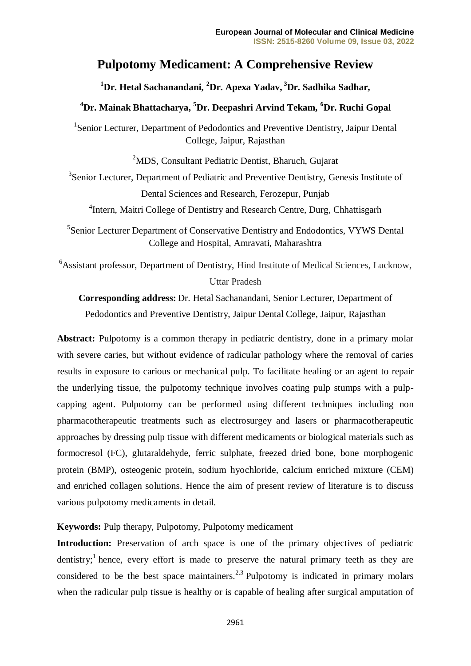# **Pulpotomy Medicament: A Comprehensive Review**

**<sup>1</sup>Dr. Hetal Sachanandani, <sup>2</sup>Dr. Apexa Yadav, <sup>3</sup>Dr. Sadhika Sadhar,**

## **<sup>4</sup>Dr. Mainak Bhattacharya, <sup>5</sup>Dr. Deepashri Arvind Tekam, <sup>6</sup>Dr. Ruchi Gopal**

<sup>1</sup>Senior Lecturer, Department of Pedodontics and Preventive Dentistry, Jaipur Dental College, Jaipur, Rajasthan

<sup>2</sup>MDS, Consultant Pediatric Dentist, Bharuch, Gujarat

<sup>3</sup>Senior Lecturer, Department of Pediatric and Preventive Dentistry, Genesis Institute of Dental Sciences and Research, Ferozepur, Punjab

<sup>4</sup>Intern, Maitri College of Dentistry and Research Centre, Durg, Chhattisgarh

5 Senior Lecturer Department of Conservative Dentistry and Endodontics, VYWS Dental College and Hospital, Amravati, Maharashtra

<sup>6</sup>Assistant professor, Department of Dentistry, Hind Institute of Medical Sciences, Lucknow, Uttar Pradesh

**Corresponding address:** Dr. Hetal Sachanandani, Senior Lecturer, Department of Pedodontics and Preventive Dentistry, Jaipur Dental College, Jaipur, Rajasthan

Abstract: Pulpotomy is a common therapy in pediatric dentistry, done in a primary molar with severe caries, but without evidence of radicular pathology where the removal of caries results in exposure to carious or mechanical pulp. To facilitate healing or an agent to repair the underlying tissue, the pulpotomy technique involves coating pulp stumps with a pulpcapping agent. Pulpotomy can be performed using different techniques including non pharmacotherapeutic treatments such as electrosurgey and lasers or pharmacotherapeutic approaches by dressing pulp tissue with different medicaments or biological materials such as formocresol (FC), glutaraldehyde, ferric sulphate, freezed dried bone, bone morphogenic protein (BMP), osteogenic protein, sodium hyochloride, calcium enriched mixture (CEM) and enriched collagen solutions. Hence the aim of present review of literature is to discuss various pulpotomy medicaments in detail.

**Keywords:** Pulp therapy, Pulpotomy, Pulpotomy medicament

Introduction: Preservation of arch space is one of the primary objectives of pediatric dentistry;<sup>1</sup> hence, every effort is made to preserve the natural primary teeth as they are considered to be the best space maintainers.<sup>2.3</sup> Pulpotomy is indicated in primary molars when the radicular pulp tissue is healthy or is capable of healing after surgical amputation of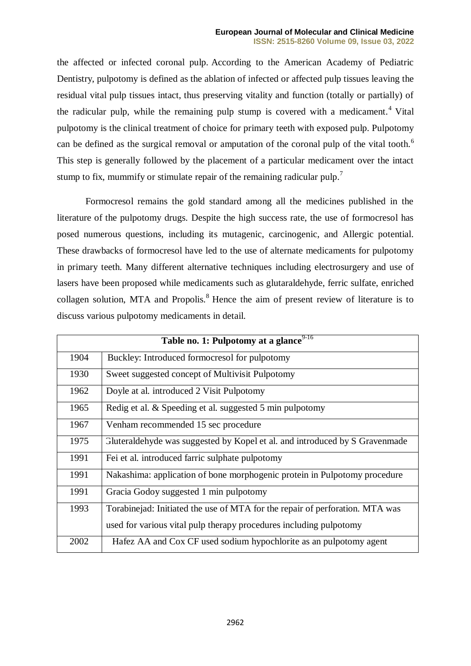the affected or infected coronal pulp. According to the American Academy of Pediatric Dentistry, pulpotomy is defined as the ablation of infected or affected pulp tissues leaving the residual vital pulp tissues intact, thus preserving vitality and function (totally or partially) of the radicular pulp, while the remaining pulp stump is covered with a medicament.<sup>4</sup> Vital pulpotomy is the clinical treatment of choice for primary teeth with exposed pulp. Pulpotomy can be defined as the surgical removal or amputation of the coronal pulp of the vital tooth.<sup>6</sup> This step is generally followed by the placement of a particular medicament over the intact stump to fix, mummify or stimulate repair of the remaining radicular pulp.<sup>7</sup>

Formocresol remains the gold standard among all the medicines published in the literature of the pulpotomy drugs. Despite the high success rate, the use of formocresol has posed numerous questions, including its mutagenic, carcinogenic, and Allergic potential. These drawbacks of formocresol have led to the use of alternate medicaments for pulpotomy in primary teeth. Many different alternative techniques including electrosurgery and use of lasers have been proposed while medicaments such as glutaraldehyde, ferric sulfate, enriched collagen solution, MTA and Propolis.<sup>8</sup> Hence the aim of present review of literature is to discuss various pulpotomy medicaments in detail.

| Table no. 1: Pulpotomy at a glance <sup>9-16</sup> |                                                                              |
|----------------------------------------------------|------------------------------------------------------------------------------|
| 1904                                               | Buckley: Introduced formocresol for pulpotomy                                |
| 1930                                               | Sweet suggested concept of Multivisit Pulpotomy                              |
| 1962                                               | Doyle at al. introduced 2 Visit Pulpotomy                                    |
| 1965                                               | Redig et al. & Speeding et al. suggested 5 min pulpotomy                     |
| 1967                                               | Venham recommended 15 sec procedure                                          |
| 1975                                               | Gluteraldehyde was suggested by Kopel et al. and introduced by S Gravenmade  |
| 1991                                               | Fei et al. introduced farric sulphate pulpotomy                              |
| 1991                                               | Nakashima: application of bone morphogenic protein in Pulpotomy procedure    |
| 1991                                               | Gracia Godoy suggested 1 min pulpotomy                                       |
| 1993                                               | Torabinejad: Initiated the use of MTA for the repair of perforation. MTA was |
|                                                    | used for various vital pulp therapy procedures including pulpotomy           |
| 2002                                               | Hafez AA and Cox CF used sodium hypochlorite as an pulpotomy agent           |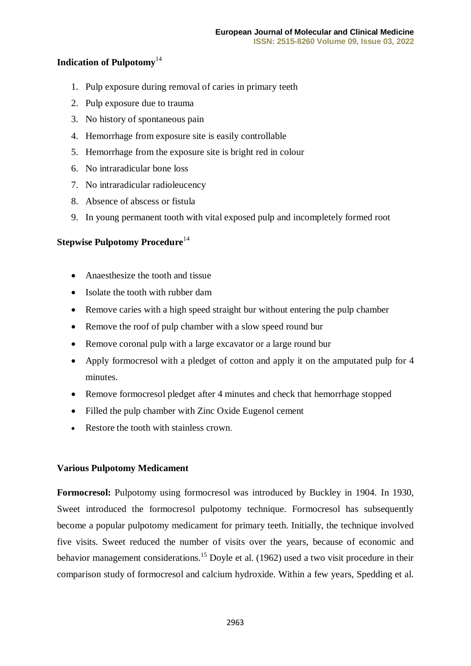### **Indication of Pulpotomy**<sup>14</sup>

- 1. Pulp exposure during removal of caries in primary teeth
- 2. Pulp exposure due to trauma
- 3. No history of spontaneous pain
- 4. Hemorrhage from exposure site is easily controllable
- 5. Hemorrhage from the exposure site is bright red in colour
- 6. No intraradicular bone loss
- 7. No intraradicular radioleucency
- 8. Absence of abscess or fistula
- 9. In young permanent tooth with vital exposed pulp and incompletely formed root

## **Stepwise Pulpotomy Procedure**<sup>14</sup>

- Anaesthesize the tooth and tissue
- Isolate the tooth with rubber dam
- Remove caries with a high speed straight bur without entering the pulp chamber
- Remove the roof of pulp chamber with a slow speed round bur
- Remove coronal pulp with a large excavator or a large round bur
- Apply formocresol with a pledget of cotton and apply it on the amputated pulp for 4 minutes.
- Remove formocresol pledget after 4 minutes and check that hemorrhage stopped
- Filled the pulp chamber with Zinc Oxide Eugenol cement
- Restore the tooth with stainless crown.

#### **Various Pulpotomy Medicament**

**Formocresol:** Pulpotomy using formocresol was introduced by Buckley in 1904. In 1930, Sweet introduced the formocresol pulpotomy technique. Formocresol has subsequently become a popular pulpotomy medicament for primary teeth. Initially, the technique involved five visits. Sweet reduced the number of visits over the years, because of economic and behavior management considerations.<sup>15</sup> Doyle et al. (1962) used a two visit procedure in their comparison study of formocresol and calcium hydroxide. Within a few years, Spedding et al.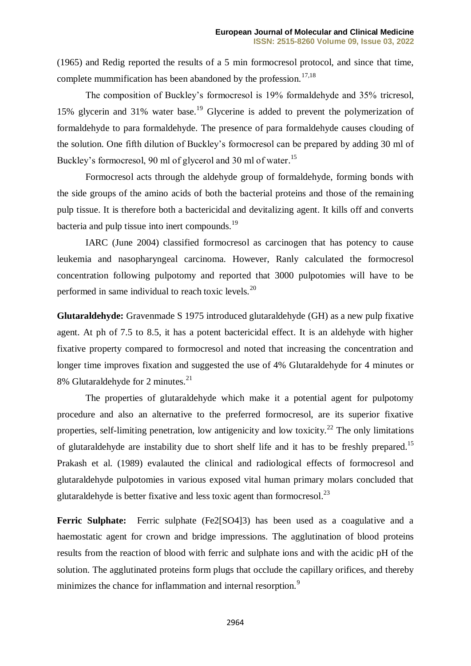(1965) and Redig reported the results of a 5 min formocresol protocol, and since that time, complete mummification has been abandoned by the profession.<sup>17,18</sup>

The composition of Buckley's formocresol is 19% formaldehyde and 35% tricresol, 15% glycerin and 31% water base.<sup>19</sup> Glycerine is added to prevent the polymerization of formaldehyde to para formaldehyde. The presence of para formaldehyde causes clouding of the solution. One fifth dilution of Buckley's formocresol can be prepared by adding 30 ml of Buckley's formocresol, 90 ml of glycerol and 30 ml of water.<sup>15</sup>

Formocresol acts through the aldehyde group of formaldehyde, forming bonds with the side groups of the amino acids of both the bacterial proteins and those of the remaining pulp tissue. It is therefore both a bactericidal and devitalizing agent. It kills off and converts bacteria and pulp tissue into inert compounds.<sup>19</sup>

IARC (June 2004) classified formocresol as carcinogen that has potency to cause leukemia and nasopharyngeal carcinoma. However, Ranly calculated the formocresol concentration following pulpotomy and reported that 3000 pulpotomies will have to be performed in same individual to reach toxic levels.<sup>20</sup>

**Glutaraldehyde:** Gravenmade S 1975 introduced glutaraldehyde (GH) as a new pulp fixative agent. At ph of 7.5 to 8.5, it has a potent bactericidal effect. It is an aldehyde with higher fixative property compared to formocresol and noted that increasing the concentration and longer time improves fixation and suggested the use of 4% Glutaraldehyde for 4 minutes or 8% Glutaraldehyde for 2 minutes.<sup>21</sup>

The properties of glutaraldehyde which make it a potential agent for pulpotomy procedure and also an alternative to the preferred formocresol, are its superior fixative properties, self-limiting penetration, low antigenicity and low toxicity.<sup>22</sup> The only limitations of glutaraldehyde are instability due to short shelf life and it has to be freshly prepared.<sup>15</sup> Prakash et al. (1989) evalauted the clinical and radiological effects of formocresol and glutaraldehyde pulpotomies in various exposed vital human primary molars concluded that glutaraldehyde is better fixative and less toxic agent than formocresol.<sup>23</sup>

**Ferric Sulphate:** Ferric sulphate (Fe2[SO4]3) has been used as a coagulative and a haemostatic agent for crown and bridge impressions. The agglutination of blood proteins results from the reaction of blood with ferric and sulphate ions and with the acidic pH of the solution. The agglutinated proteins form plugs that occlude the capillary orifices, and thereby minimizes the chance for inflammation and internal resorption.<sup>9</sup>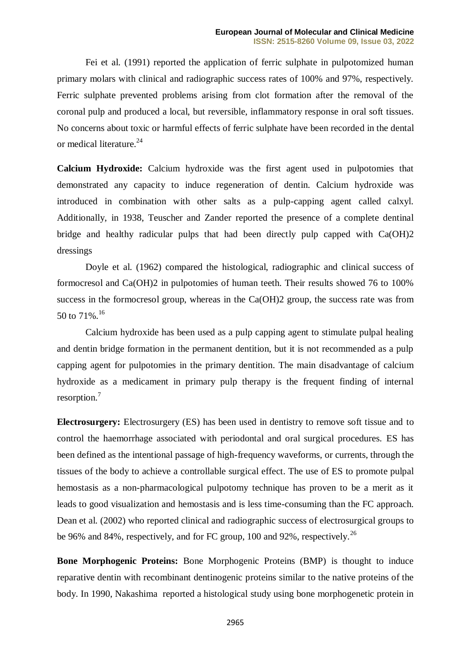Fei et al. (1991) reported the application of ferric sulphate in pulpotomized human primary molars with clinical and radiographic success rates of 100% and 97%, respectively. Ferric sulphate prevented problems arising from clot formation after the removal of the coronal pulp and produced a local, but reversible, inflammatory response in oral soft tissues. No concerns about toxic or harmful effects of ferric sulphate have been recorded in the dental or medical literature.<sup>24</sup>

**Calcium Hydroxide:** Calcium hydroxide was the first agent used in pulpotomies that demonstrated any capacity to induce regeneration of dentin. Calcium hydroxide was introduced in combination with other salts as a pulp-capping agent called calxyl. Additionally, in 1938, Teuscher and Zander reported the presence of a complete dentinal bridge and healthy radicular pulps that had been directly pulp capped with Ca(OH)2 dressings

Doyle et al. (1962) compared the histological, radiographic and clinical success of formocresol and Ca(OH)2 in pulpotomies of human teeth. Their results showed 76 to 100% success in the formocresol group, whereas in the Ca(OH)2 group, the success rate was from 50 to 71%. 16

Calcium hydroxide has been used as a pulp capping agent to stimulate pulpal healing and dentin bridge formation in the permanent dentition, but it is not recommended as a pulp capping agent for pulpotomies in the primary dentition. The main disadvantage of calcium hydroxide as a medicament in primary pulp therapy is the frequent finding of internal resorption.<sup>7</sup>

**Electrosurgery:** Electrosurgery (ES) has been used in dentistry to remove soft tissue and to control the haemorrhage associated with periodontal and oral surgical procedures. ES has been defined as the intentional passage of high-frequency waveforms, or currents, through the tissues of the body to achieve a controllable surgical effect. The use of ES to promote pulpal hemostasis as a non-pharmacological pulpotomy technique has proven to be a merit as it leads to good visualization and hemostasis and is less time-consuming than the FC approach. Dean et al. (2002) who reported clinical and radiographic success of electrosurgical groups to be 96% and 84%, respectively, and for FC group, 100 and 92%, respectively.<sup>26</sup>

**Bone Morphogenic Proteins:** Bone Morphogenic Proteins (BMP) is thought to induce reparative dentin with recombinant dentinogenic proteins similar to the native proteins of the body. In 1990, Nakashima reported a histological study using bone morphogenetic protein in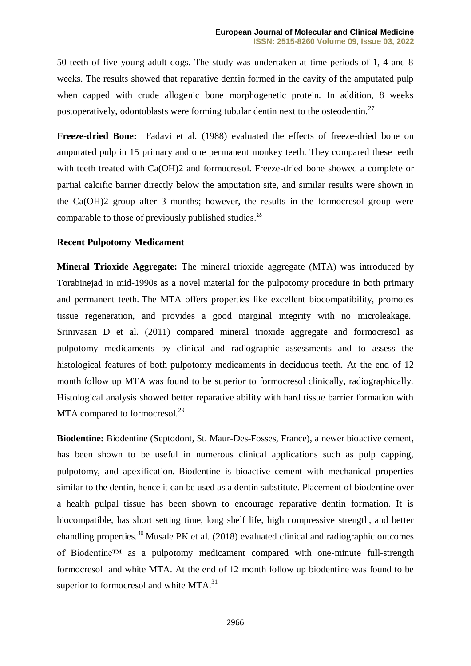50 teeth of five young adult dogs. The study was undertaken at time periods of 1, 4 and 8 weeks. The results showed that reparative dentin formed in the cavity of the amputated pulp when capped with crude allogenic bone morphogenetic protein. In addition, 8 weeks postoperatively, odontoblasts were forming tubular dentin next to the osteodentin.<sup>27</sup>

**Freeze-dried Bone:** Fadavi et al. (1988) evaluated the effects of freeze-dried bone on amputated pulp in 15 primary and one permanent monkey teeth. They compared these teeth with teeth treated with Ca(OH)2 and formocresol. Freeze-dried bone showed a complete or partial calcific barrier directly below the amputation site, and similar results were shown in the Ca(OH)2 group after 3 months; however, the results in the formocresol group were comparable to those of previously published studies.<sup>28</sup>

#### **Recent Pulpotomy Medicament**

**Mineral Trioxide Aggregate:** The mineral trioxide aggregate (MTA) was introduced by Torabinejad in mid-1990s as a novel material for the pulpotomy procedure in both primary and permanent teeth. The MTA offers properties like excellent biocompatibility, promotes tissue regeneration, and provides a good marginal integrity with no microleakage. [Srinivasan](https://ijdr.in/searchresult.asp?search=&author=Daya+Srinivasan&journal=Y&but_search=Search&entries=10&pg=1&s=0) D et al. (2011) compared mineral trioxide aggregate and formocresol as pulpotomy medicaments by clinical and radiographic assessments and to assess the histological features of both pulpotomy medicaments in deciduous teeth. At the end of 12 month follow up MTA was found to be superior to formocresol clinically, radiographically. Histological analysis showed better reparative ability with hard tissue barrier formation with MTA compared to formocresol.<sup>29</sup>

**Biodentine:** Biodentine (Septodont, St. Maur-Des-Fosses, France), a newer bioactive cement, has been shown to be useful in numerous clinical applications such as pulp capping, pulpotomy, and apexification. Biodentine is bioactive cement with mechanical properties similar to the dentin, hence it can be used as a dentin substitute. Placement of biodentine over a health pulpal tissue has been shown to encourage reparative dentin formation. It is biocompatible, has short setting time, long shelf life, high compressive strength, and better ehandling properties.<sup>30</sup> Musale PK et al. (2018) evaluated clinical and radiographic outcomes of Biodentine™ as a pulpotomy medicament compared with one-minute full-strength formocresol and white MTA. At the end of 12 month follow up biodentine was found to be superior to formocresol and white  $MTA$ <sup>31</sup>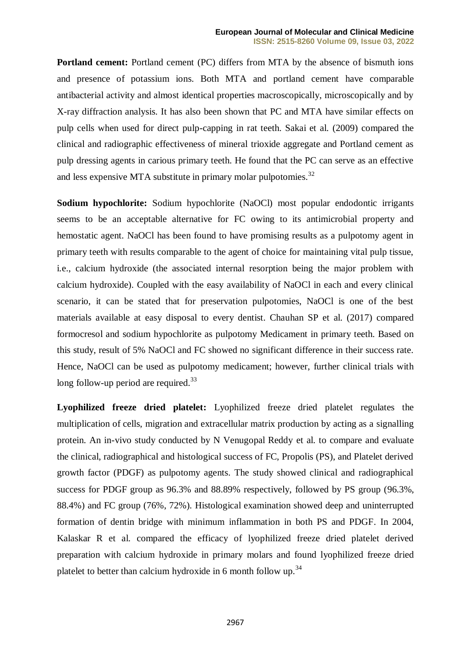**Portland cement:** Portland cement (PC) differs from MTA by the absence of bismuth ions and presence of potassium ions. Both MTA and portland cement have comparable antibacterial activity and almost identical properties macroscopically, microscopically and by X-ray diffraction analysis. It has also been shown that PC and MTA have similar effects on pulp cells when used for direct pulp-capping in rat teeth. Sakai et al. (2009) compared the clinical and radiographic effectiveness of mineral trioxide aggregate and Portland cement as pulp dressing agents in carious primary teeth. He found that the PC can serve as an effective and less expensive MTA substitute in primary molar pulpotomies. $^{32}$ 

**Sodium hypochlorite:** Sodium hypochlorite (NaOCl) most popular endodontic irrigants seems to be an acceptable alternative for FC owing to its antimicrobial property and hemostatic agent. NaOCl has been found to have promising results as a pulpotomy agent in primary teeth with results comparable to the agent of choice for maintaining vital pulp tissue, i.e., calcium hydroxide (the associated internal resorption being the major problem with calcium hydroxide). Coupled with the easy availability of NaOCl in each and every clinical scenario, it can be stated that for preservation pulpotomies, NaOCl is one of the best materials available at easy disposal to every dentist. Chauhan SP et al. (2017) compared formocresol and sodium hypochlorite as pulpotomy Medicament in primary teeth. Based on this study, result of 5% NaOCl and FC showed no significant difference in their success rate. Hence, NaOCl can be used as pulpotomy medicament; however, further clinical trials with long follow-up period are required.<sup>33</sup>

**Lyophilized freeze dried platelet:** Lyophilized freeze dried platelet regulates the multiplication of cells, migration and extracellular matrix production by acting as a signalling protein. An in-vivo study conducted by N Venugopal Reddy et al. to compare and evaluate the clinical, radiographical and histological success of FC, Propolis (PS), and Platelet derived growth factor (PDGF) as pulpotomy agents. The study showed clinical and radiographical success for PDGF group as 96.3% and 88.89% respectively, followed by PS group (96.3%, 88.4%) and FC group (76%, 72%). Histological examination showed deep and uninterrupted formation of dentin bridge with minimum inflammation in both PS and PDGF. In 2004, Kalaskar R et al. compared the efficacy of lyophilized freeze dried platelet derived preparation with calcium hydroxide in primary molars and found lyophilized freeze dried platelet to better than calcium hydroxide in 6 month follow up.<sup>34</sup>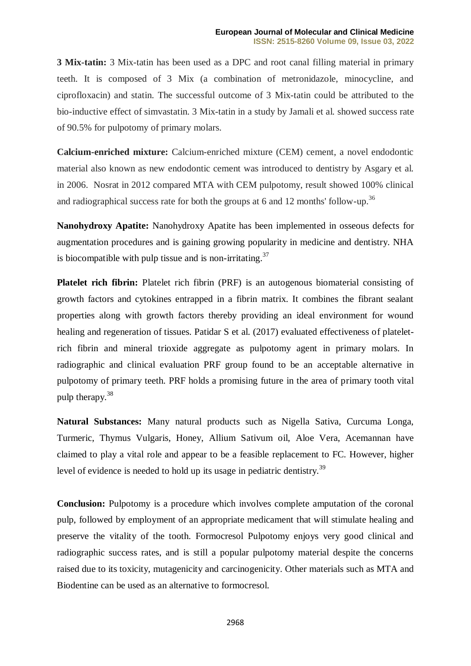**3 Mix-tatin:** 3 Mix-tatin has been used as a DPC and root canal filling material in primary teeth. It is composed of 3 Mix (a combination of metronidazole, minocycline, and ciprofloxacin) and statin. The successful outcome of 3 Mix-tatin could be attributed to the bio-inductive effect of simvastatin. 3 Mix-tatin in a study by Jamali et al*.* showed success rate of 90.5% for pulpotomy of primary molars.

**Calcium-enriched mixture:** Calcium-enriched mixture (CEM) cement, a novel endodontic material also known as new endodontic cement was introduced to dentistry by Asgary et al*.* in 2006. Nosrat in 2012 compared MTA with CEM pulpotomy, result showed 100% clinical and radiographical success rate for both the groups at 6 and 12 months' follow-up.<sup>36</sup>

**Nanohydroxy Apatite:** Nanohydroxy Apatite has been implemented in osseous defects for augmentation procedures and is gaining growing popularity in medicine and dentistry. NHA is biocompatible with pulp tissue and is non-irritating.<sup>37</sup>

**Platelet rich fibrin:** Platelet rich fibrin (PRF) is an autogenous biomaterial consisting of growth factors and cytokines entrapped in a fibrin matrix. It combines the fibrant sealant properties along with growth factors thereby providing an ideal environment for wound healing and regeneration of tissues. Patidar S et al. (2017) evaluated effectiveness of plateletrich fibrin and mineral trioxide aggregate as pulpotomy agent in primary molars. In radiographic and clinical evaluation PRF group found to be an acceptable alternative in pulpotomy of primary teeth. PRF holds a promising future in the area of primary tooth vital pulp therapy.<sup>38</sup>

**Natural Substances:** Many natural products such as Nigella Sativa, Curcuma Longa, Turmeric, Thymus Vulgaris, Honey, Allium Sativum oil, Aloe Vera, Acemannan have claimed to play a vital role and appear to be a feasible replacement to FC. However, higher level of evidence is needed to hold up its usage in pediatric dentistry.<sup>39</sup>

**Conclusion:** Pulpotomy is a procedure which involves complete amputation of the coronal pulp, followed by employment of an appropriate medicament that will stimulate healing and preserve the vitality of the tooth. Formocresol Pulpotomy enjoys very good clinical and radiographic success rates, and is still a popular pulpotomy material despite the concerns raised due to its toxicity, mutagenicity and carcinogenicity. Other materials such as MTA and Biodentine can be used as an alternative to formocresol.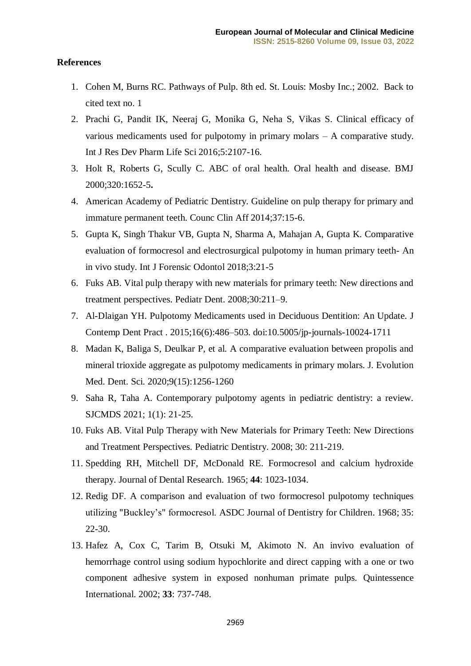#### **References**

- 1. Cohen M, Burns RC. Pathways of Pulp. 8th ed. St. Louis: Mosby Inc.; 2002. Back to cited text no. 1
- 2. Prachi G, Pandit IK, Neeraj G, Monika G, Neha S, Vikas S. Clinical efficacy of various medicaments used for pulpotomy in primary molars – A comparative study. Int J Res Dev Pharm Life Sci 2016;5:2107-16.
- 3. Holt R, Roberts G, Scully C. ABC of oral health. Oral health and disease. BMJ 2000;320:1652-5**.**
- 4. American Academy of Pediatric Dentistry. Guideline on pulp therapy for primary and immature permanent teeth. Counc Clin Aff 2014;37:15-6.
- 5. Gupta K, Singh Thakur VB, Gupta N, Sharma A, Mahajan A, Gupta K. Comparative evaluation of formocresol and electrosurgical pulpotomy in human primary teeth- An in vivo study. Int J Forensic Odontol 2018;3:21-5
- 6. Fuks AB. Vital pulp therapy with new materials for primary teeth: New directions and treatment perspectives. Pediatr Dent. 2008;30:211–9.
- 7. Al-Dlaigan YH. Pulpotomy Medicaments used in Deciduous Dentition: An Update. J Contemp Dent Pract . 2015;16(6):486–503. doi:10.5005/jp-journals-10024-1711
- 8. Madan K, Baliga S, Deulkar P, et al. A comparative evaluation between propolis and mineral trioxide aggregate as pulpotomy medicaments in primary molars. J. Evolution Med. Dent. Sci. 2020;9(15):1256-1260
- 9. Saha R, Taha A. Contemporary pulpotomy agents in pediatric dentistry: a review. SJCMDS 2021; 1(1): 21-25.
- 10. Fuks AB. Vital Pulp Therapy with New Materials for Primary Teeth: New Directions and Treatment Perspectives. Pediatric Dentistry. 2008; 30: 211-219.
- 11. Spedding RH, Mitchell DF, McDonald RE. Formocresol and calcium hydroxide therapy. Journal of Dental Research. 1965; **44**: 1023-1034.
- 12. Redig DF. A comparison and evaluation of two formocresol pulpotomy techniques utilizing "Buckley's" formocresol. ASDC Journal of Dentistry for Children. 1968; 35: 22-30.
- 13. Hafez A, Cox C, Tarim B, Otsuki M, Akimoto N. An invivo evaluation of hemorrhage control using sodium hypochlorite and direct capping with a one or two component adhesive system in exposed nonhuman primate pulps. Quintessence International. 2002; **33**: 737-748.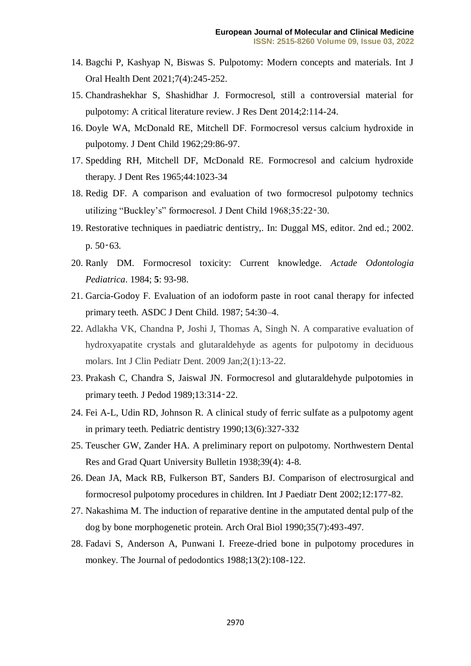- 14. Bagchi P, Kashyap N, Biswas S. Pulpotomy: Modern concepts and materials. Int J Oral Health Dent 2021;7(4):245-252.
- 15. Chandrashekhar S, Shashidhar J. Formocresol, still a controversial material for pulpotomy: A critical literature review. J Res Dent 2014;2:114-24.
- 16. Doyle WA, McDonald RE, Mitchell DF. Formocresol versus calcium hydroxide in pulpotomy. J Dent Child 1962;29:86-97.
- 17. Spedding RH, Mitchell DF, McDonald RE. Formocresol and calcium hydroxide therapy. J Dent Res 1965;44:1023-34
- 18. Redig DF. A comparison and evaluation of two formocresol pulpotomy technics utilizing "Buckley's" formocresol. J Dent Child 1968;35:22‑30.
- 19. Restorative techniques in paediatric dentistry,. In: Duggal MS, editor. 2nd ed.; 2002. p. 50‑63.
- 20. Ranly DM. Formocresol toxicity: Current knowledge. *Actade Odontologia Pediatrica*. 1984; **5**: 93-98.
- 21. Garcia-Godoy F. Evaluation of an iodoform paste in root canal therapy for infected primary teeth. ASDC J Dent Child. 1987; 54:30–4.
- 22. Adlakha VK, Chandna P, Joshi J, Thomas A, Singh N. A comparative evaluation of hydroxyapatite crystals and glutaraldehyde as agents for pulpotomy in deciduous molars. Int J Clin Pediatr Dent. 2009 Jan;2(1):13-22.
- 23. Prakash C, Chandra S, Jaiswal JN. Formocresol and glutaraldehyde pulpotomies in primary teeth. J Pedod 1989;13:314‑22.
- 24. Fei A-L, Udin RD, Johnson R. A clinical study of ferric sulfate as a pulpotomy agent in primary teeth. Pediatric dentistry 1990;13(6):327-332
- 25. Teuscher GW, Zander HA. A preliminary report on pulpotomy. Northwestern Dental Res and Grad Quart University Bulletin 1938;39(4): 4-8.
- 26. Dean JA, Mack RB, Fulkerson BT, Sanders BJ. Comparison of electrosurgical and formocresol pulpotomy procedures in children. Int J Paediatr Dent 2002;12:177-82.
- 27. Nakashima M. The induction of reparative dentine in the amputated dental pulp of the dog by bone morphogenetic protein. Arch Oral Biol 1990;35(7):493-497.
- 28. Fadavi S, Anderson A, Punwani I. Freeze-dried bone in pulpotomy procedures in monkey. The Journal of pedodontics 1988;13(2):108-122.